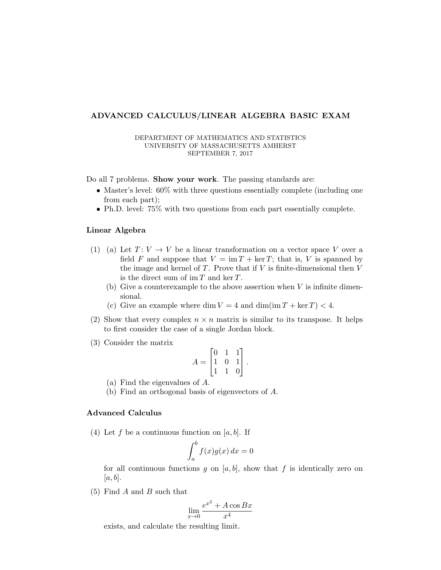## ADVANCED CALCULUS/LINEAR ALGEBRA BASIC EXAM

## DEPARTMENT OF MATHEMATICS AND STATISTICS UNIVERSITY OF MASSACHUSETTS AMHERST SEPTEMBER 7, 2017

Do all 7 problems. **Show your work**. The passing standards are:

- Master's level:  $60\%$  with three questions essentially complete (including one from each part);
- Ph.D. level: 75% with two questions from each part essentially complete.

## Linear Algebra

- (1) (a) Let  $T: V \to V$  be a linear transformation on a vector space V over a field F and suppose that  $V = \text{im } T + \text{ker } T$ ; that is, V is spanned by the image and kernel of  $T$ . Prove that if  $V$  is finite-dimensional then  $V$ is the direct sum of  $\operatorname{im} T$  and  $\ker T$ .
	- (b) Give a counterexample to the above assertion when V is infinite dimensional.
	- (c) Give an example where dim  $V = 4$  and dim(im  $T + \ker T < 4$ .
- (2) Show that every complex  $n \times n$  matrix is similar to its transpose. It helps to first consider the case of a single Jordan block.
- (3) Consider the matrix

$$
A = \begin{bmatrix} 0 & 1 & 1 \\ 1 & 0 & 1 \\ 1 & 1 & 0 \end{bmatrix}.
$$

- (a) Find the eigenvalues of A.
- (b) Find an orthogonal basis of eigenvectors of A.

## Advanced Calculus

(4) Let f be a continuous function on  $[a, b]$ . If

$$
\int_{a}^{b} f(x)g(x) \, dx = 0
$$

for all continuous functions g on  $[a, b]$ , show that f is identically zero on  $[a, b]$ .

 $(5)$  Find A and B such that

$$
\lim_{x \to 0} \frac{e^{x^2} + A \cos Bx}{x^4}
$$

exists, and calculate the resulting limit.